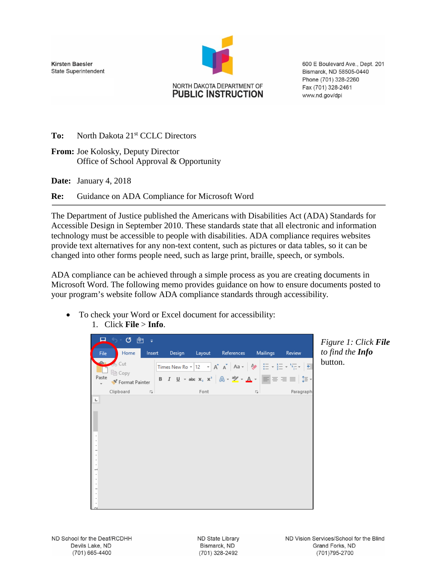**Kirsten Baesler State Superintendent** 



600 E Boulevard Ave., Dept. 201 Bismarck, ND 58505-0440 Phone (701) 328-2260 Fax (701) 328-2461 www.nd.gov/dpi

To: North Dakota 21<sup>st</sup> CCLC Directors

**From:** Joe Kolosky, Deputy Director Office of School Approval & Opportunity

**Date:** January 4, 2018

**Re:** Guidance on ADA Compliance for Microsoft Word

The Department of Justice published the Americans with Disabilities Act (ADA) Standards for Accessible Design in September 2010. These standards state that all electronic and information technology must be accessible to people with disabilities. ADA compliance requires websites provide text alternatives for any non-text content, such as pictures or data tables, so it can be changed into other forms people need, such as large print, braille, speech, or symbols.

ADA compliance can be achieved through a simple process as you are creating documents in Microsoft Word. The following memo provides guidance on how to ensure documents posted to your program's website follow ADA compliance standards through accessibility.

To check your Word or Excel document for accessibility: 1. Click **File** > **Info**.



*Figure 1: Click File to find the Info*  button.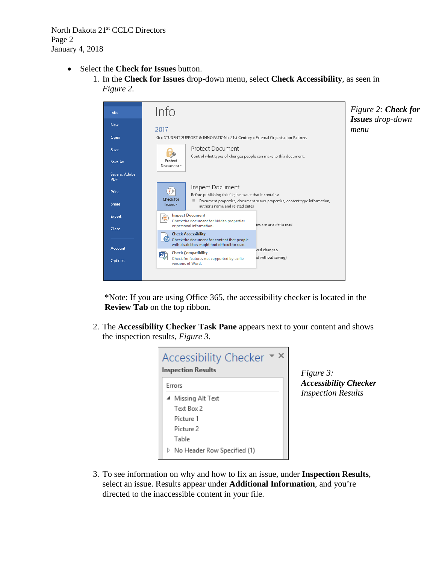North Dakota 21<sup>st</sup> CCLC Directors Page 2 January 4, 2018

- Select the **Check for Issues** button.
	- 1. In the **Check for Issues** drop-down menu, select **Check Accessibility**, as seen in *Figure 2.*



\*Note: If you are using Office 365, the accessibility checker is located in the **Review Tab** on the top ribbon.

2. The **Accessibility Checker Task Pane** appears next to your content and shows the inspection results, *Figure 3*.



*Figure 3: Accessibility Checker Inspection Results*

3. To see information on why and how to fix an issue, under **Inspection Results**, select an issue. Results appear under **Additional Information**, and you're directed to the inaccessible content in your file.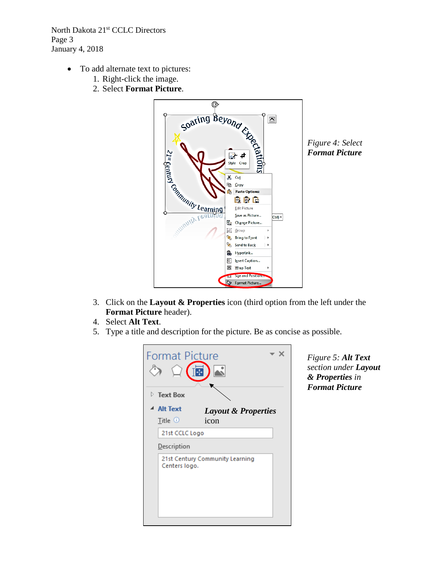North Dakota 21<sup>st</sup> CCLC Directors Page 3 January 4, 2018

- To add alternate text to pictures:
	- 1. Right-click the image.
	-



*Figure 4: Select Format Picture*

- 3. Click on the **Layout & Properties** icon (third option from the left under the **Format Picture** header).
- 4. Select **Alt Text**.
- 5. Type a title and description for the picture. Be as concise as possible.

| <b>Format Picture</b><br>$\triangleright$ Text Box | 4                               |
|----------------------------------------------------|---------------------------------|
| <b>Alt Text</b>                                    | <b>Layout &amp; Properties</b>  |
| Title $0$                                          | icon                            |
| 21st CCLC Logo                                     |                                 |
| <b>Description</b>                                 |                                 |
| Centers logo.                                      | 21st Century Community Learning |

*Figure 5: Alt Text section under Layout & Properties in Format Picture*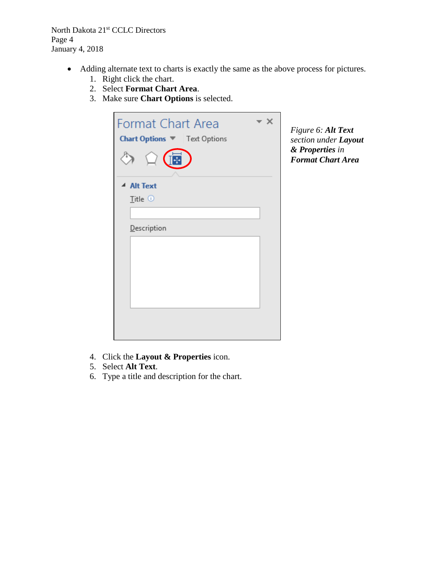North Dakota 21st CCLC Directors Page 4 January 4, 2018

- Adding alternate text to charts is exactly the same as the above process for pictures.
	- 1. Right click the chart.
	- 2. Select **Format Chart Area**.
	- 3. Make sure **Chart Options** is selected.

| <b>Format Chart Area</b><br>Chart Options V   Text Options |  |
|------------------------------------------------------------|--|
|                                                            |  |
| ▲ Alt Text                                                 |  |
| Title $\odot$                                              |  |
|                                                            |  |
| Description                                                |  |
|                                                            |  |
|                                                            |  |
|                                                            |  |
|                                                            |  |
|                                                            |  |
|                                                            |  |

*Figure 6: Alt Text section under Layout & Properties in Format Chart Area*

- 4. Click the **Layout & Properties** icon.
- 5. Select **Alt Text**.
- 6. Type a title and description for the chart.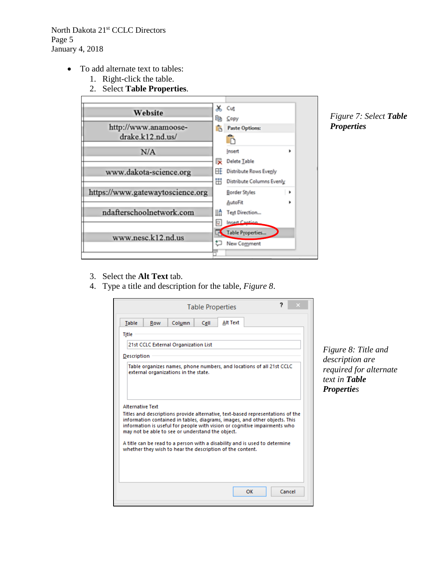North Dakota 21<sup>st</sup> CCLC Directors Page 5 January 4, 2018

- To add alternate text to tables:
	- 1. Right-click the table.
	- 2. Select **Table Properties**.



*Figure 7: Select Table Properties*

- 3. Select the **Alt Text** tab.
- 4. Type a title and description for the table, *Figure 8*.

|                         |     |                                                                                                                                                                                                                                                                                                                                                                                                                                                                                  | <b>Table Properties</b> |          |    |  |        |
|-------------------------|-----|----------------------------------------------------------------------------------------------------------------------------------------------------------------------------------------------------------------------------------------------------------------------------------------------------------------------------------------------------------------------------------------------------------------------------------------------------------------------------------|-------------------------|----------|----|--|--------|
| <b>Table</b>            | Row | Column                                                                                                                                                                                                                                                                                                                                                                                                                                                                           | Cell                    | Alt Text |    |  |        |
| Title                   |     |                                                                                                                                                                                                                                                                                                                                                                                                                                                                                  |                         |          |    |  |        |
|                         |     | 21st CCLC External Organization List                                                                                                                                                                                                                                                                                                                                                                                                                                             |                         |          |    |  |        |
| <b>Description</b>      |     |                                                                                                                                                                                                                                                                                                                                                                                                                                                                                  |                         |          |    |  |        |
| <b>Alternative Text</b> |     | external organizations in the state.<br>Titles and descriptions provide alternative, text-based representations of the<br>information contained in tables, diagrams, images, and other objects. This<br>information is useful for people with vision or cognitive impairments who<br>may not be able to see or understand the object.<br>A title can be read to a person with a disability and is used to determine<br>whether they wish to hear the description of the content. |                         |          |    |  |        |
|                         |     |                                                                                                                                                                                                                                                                                                                                                                                                                                                                                  |                         |          | OK |  | Cancel |

*Figure 8: Title and description are required for alternate text in Table Properties*